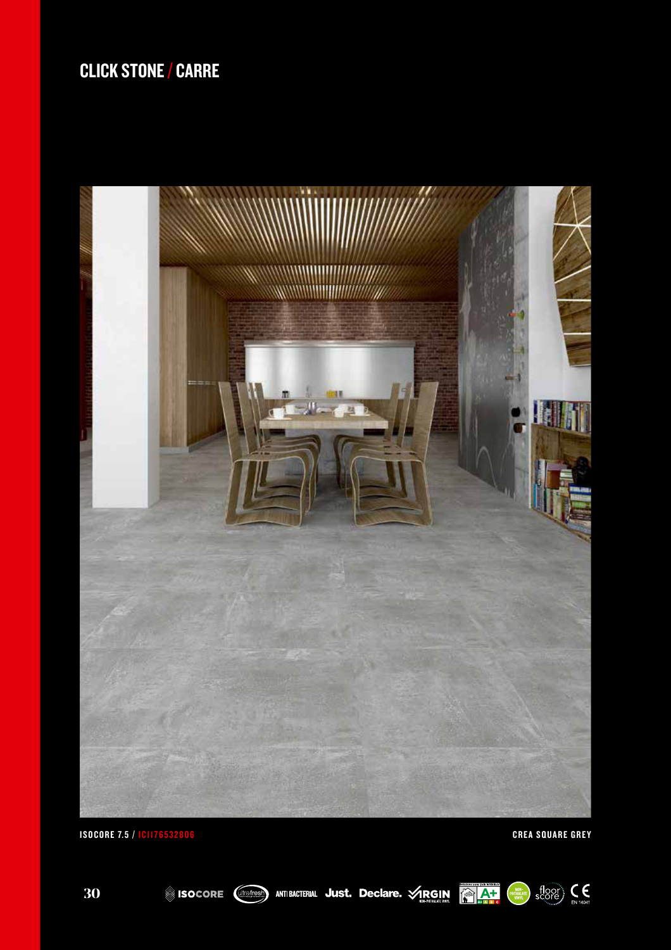

**EN THURSELAIRE** SCOPE EN 14041



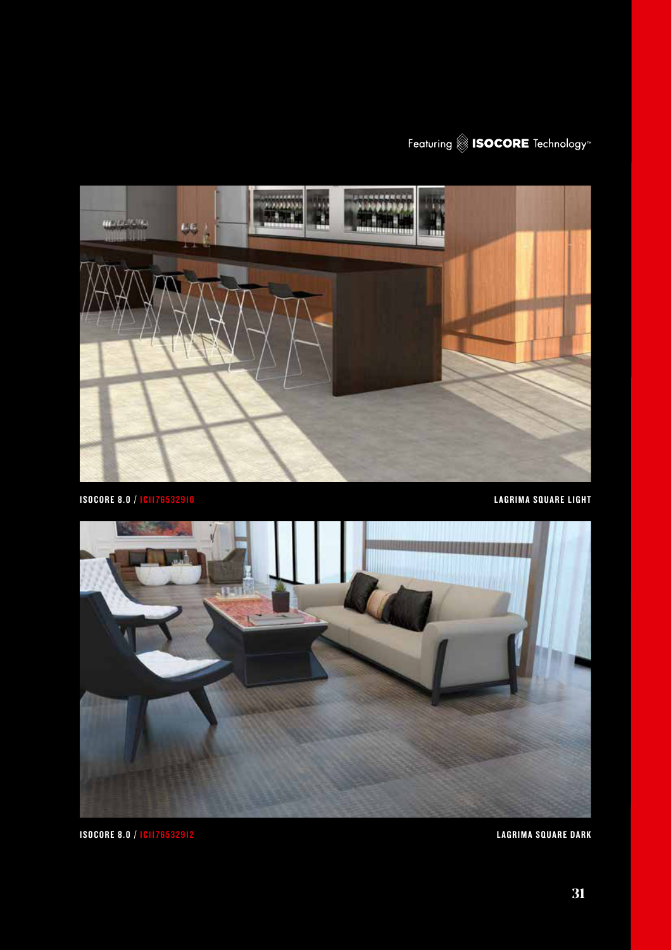



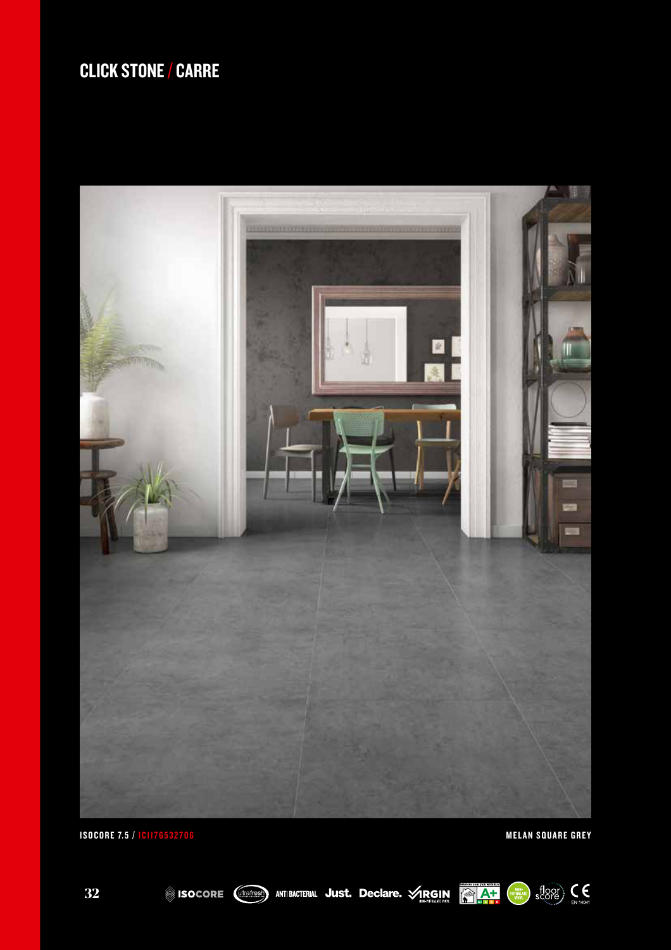





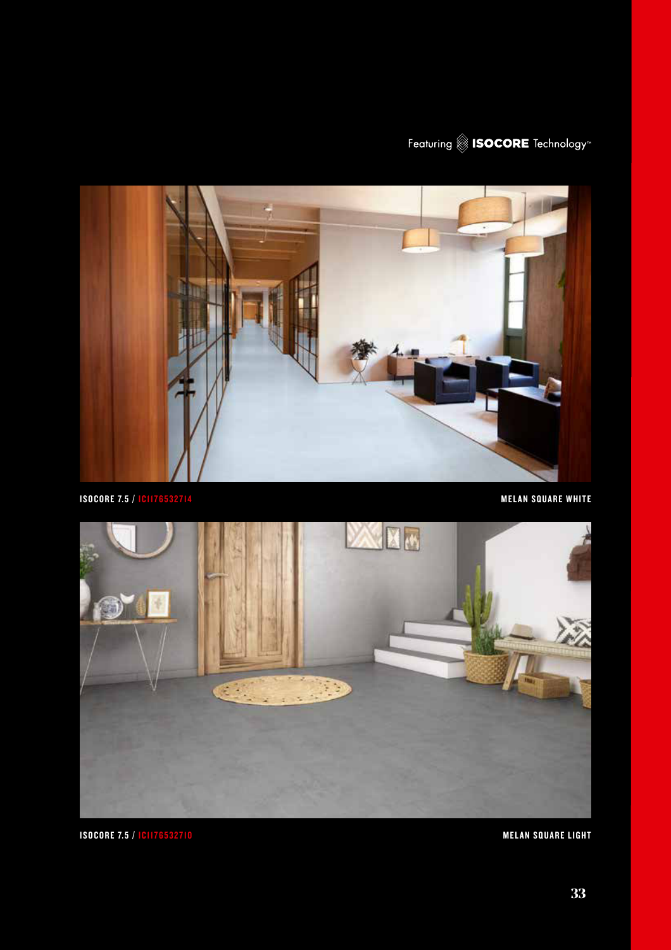



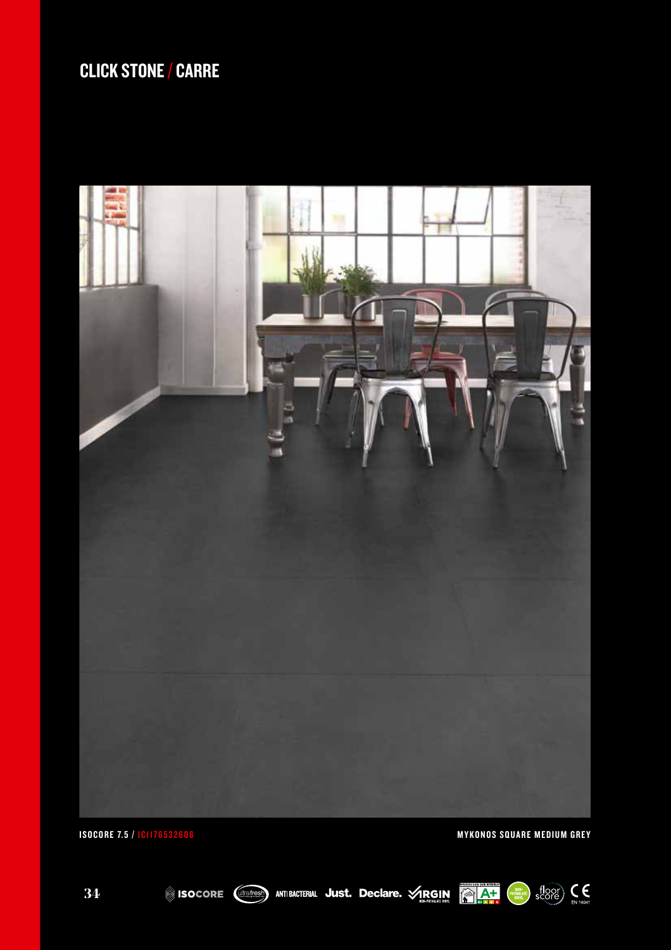







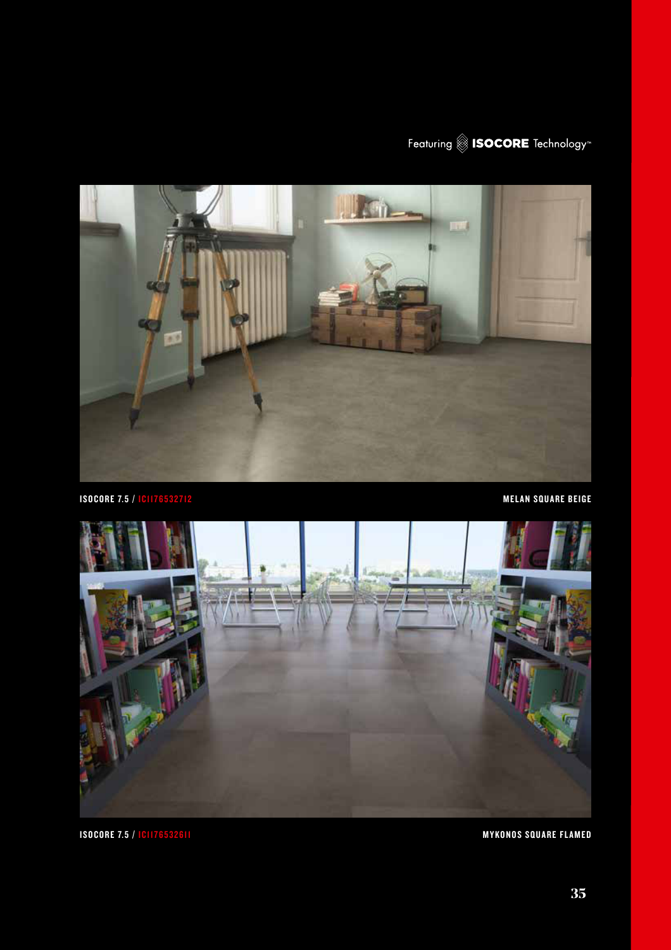



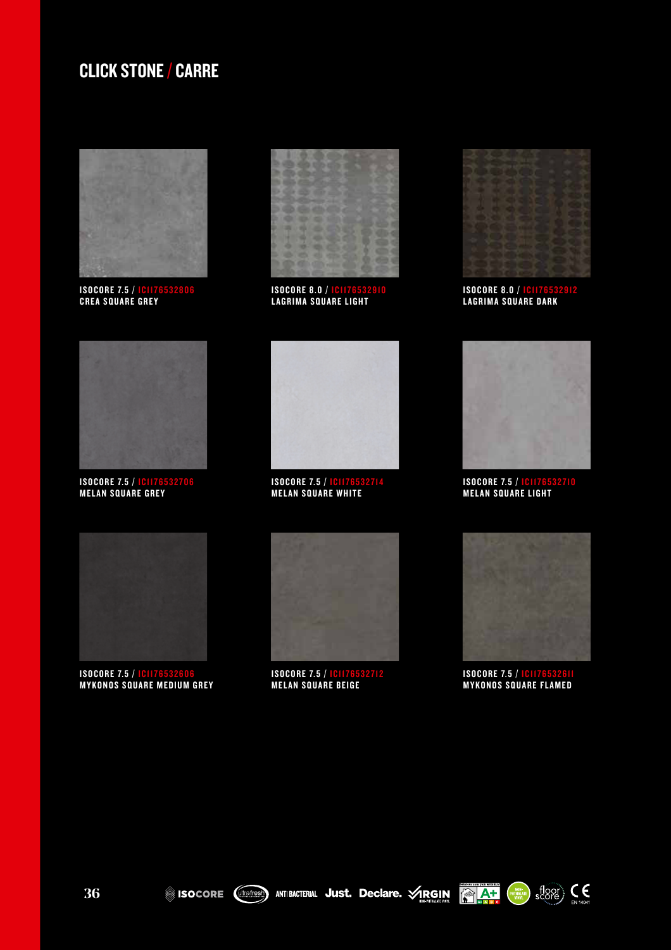

**ISOCORE 7.5 / IC1176532806 CREA SQUARE GREY** 



**ISOCORE 8.0 / IC1176532910** LAGRIMA SQUARE LIGHT



**ISOCORE 8.0 / IC1176532912** LAGRIMA SQUARE DARK



ISOCORE 7.5 / IC1176532706 **MELAN SQUARE GREY** 



**ISOCORE 7.5 / IC1176532714 MELAN SQUARE WHITE** 



ISOCORE 7.5 / IC1176532710 **MELAN SQUARE LIGHT** 



**ISOCORE 7.5 / IC1176532606 MYKONOS SQUARE MEDIUM GREY** 



**ISOCORE 7.5 / IC1176532712 MELAN SQUARE BEIGE** 



ISOCORE 7.5 / <mark>IC</mark>II76532611 **MYKONOS SQUARE FLAMED** 





 $\frac{f}{\text{score}}$   $\text{C}$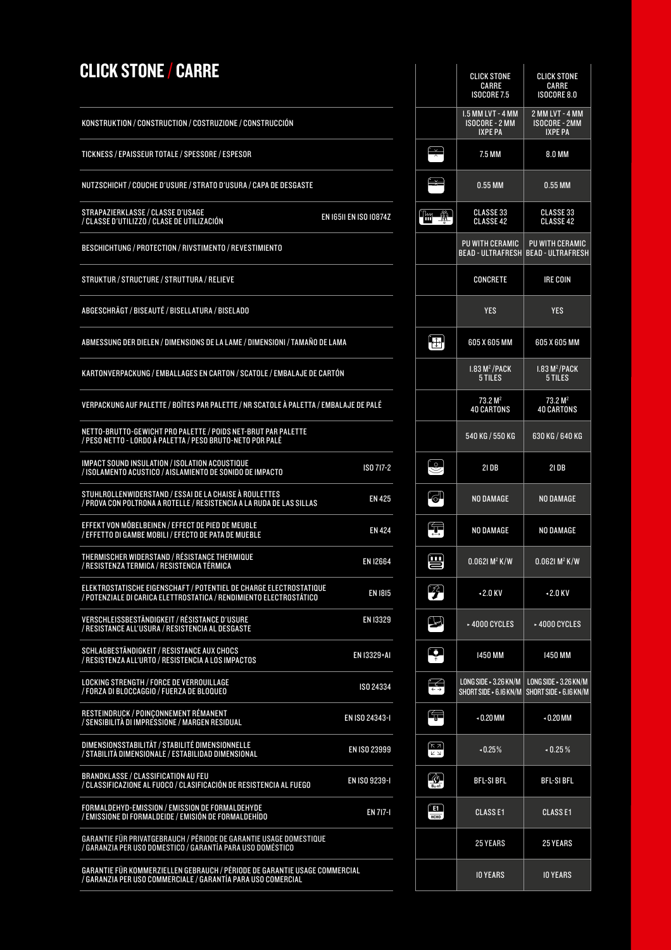|                                                                                                                                          |                        |                                                                                           | <b>CARRE</b><br><b>ISOCORE 7.5</b>                                          | <b>CARRE</b><br><b>ISOCORE 8.0</b>                        |
|------------------------------------------------------------------------------------------------------------------------------------------|------------------------|-------------------------------------------------------------------------------------------|-----------------------------------------------------------------------------|-----------------------------------------------------------|
| KONSTRUKTION / CONSTRUCTION / COSTRUZIONE / CONSTRUCCIÓN                                                                                 |                        |                                                                                           | 1.5 MM LVT - 4 MM<br><b>ISOCORE - 2 MM</b><br><b>IXPE PA</b>                | 2 MM LVT - 4 MM<br><b>ISOCORE - 2MM</b><br><b>IXPE PA</b> |
| TICKNESS / EPAISSEUR TOTALE / SPESSORE / ESPESOR                                                                                         |                        | $\sim$                                                                                    | 7.5 MM                                                                      | 8.0 MM                                                    |
| NUTZSCHICHT / COUCHE D'USURE / STRATO D'USURA / CAPA DE DESGASTE                                                                         |                        | l₩                                                                                        | $0.55$ MM                                                                   | 0.55 MM                                                   |
| STRAPAZIERKLASSE / CLASSE D'USAGE<br>/ CLASSE D'UTILIZZO / CLASE DE UTILIZACIÓN                                                          | EN 16511 EN ISO 10874Z | $\mathbb{F}_{\mathbb{H}}$ , $\mathbb{F}_{\mathbb{H}}$                                     | <b>CLASSE 33</b><br><b>CLASSE 42</b>                                        | <b>CLASSE 33</b><br><b>CLASSE 42</b>                      |
| BESCHICHTUNG / PROTECTION / RIVSTIMENTO / REVESTIMIENTO                                                                                  |                        |                                                                                           | PU WITH CERAMIC<br>BEAD - ULTRAFRESH   BEAD - ULTRAFRES                     | <b>PU WITH CERAMI</b>                                     |
| STRUKTUR / STRUCTURE / STRUTTURA / RELIEVE                                                                                               |                        |                                                                                           | <b>CONCRETE</b>                                                             | <b>IRE COIN</b>                                           |
| ABGESCHRÄGT / BISEAUTÉ / BISELLATURA / BISELADO                                                                                          |                        |                                                                                           | <b>YES</b>                                                                  | <b>YES</b>                                                |
| ABMESSUNG DER DIELEN / DIMENSIONS DE LA LAME / DIMENSIONI / TAMAÑO DE LAMA                                                               |                        | $\bigoplus$                                                                               | 605 X 605 MM                                                                | 605 X 605 MM                                              |
| KARTONVERPACKUNG / EMBALLAGES EN CARTON / SCATOLE / EMBALAJE DE CARTÓN                                                                   |                        |                                                                                           | $1.83 M2$ /PACK<br>5 TILES                                                  | $1.83 M2$ /PACK<br>5 TILES                                |
| VERPACKUNG AUF PALETTE / BOÎTES PAR PALETTE / NR SCATOLE À PALETTA / EMBALAJE DE PALÉ                                                    |                        |                                                                                           | 73.2 M <sup>2</sup><br><b>40 CARTONS</b>                                    | 73.2 M <sup>2</sup><br><b>40 CARTONS</b>                  |
| NETTO-BRUTTO-GEWICHT PRO PALETTE / POIDS NET-BRUT PAR PALETTE<br>/ PESO NETTO - LORDO À PALETTA / PESO BRUTO-NETO POR PALÉ               |                        |                                                                                           | 540 KG / 550 KG                                                             | 630 KG / 640 KG                                           |
| IMPACT SOUND INSULATION / ISOLATION ACOUSTIQUE<br>/ ISOLAMENTO ACUSTICO / AISLAMIENTO DE SONIDO DE IMPACTO                               | ISO 717-2              | $\left(\circ\right)$                                                                      | <b>21 DB</b>                                                                | <b>21 DB</b>                                              |
| STUHLROLLENWIDERSTAND / ESSAI DE LA CHAISE À ROULETTES<br>/ PROVA CON POLTRONA A ROTELLE / RESISTENCIA A LA RUDA DE LAS SILLAS           | <b>EN 425</b>          | G                                                                                         | NO DAMAGE                                                                   | NO DAMAGE                                                 |
| EFFEKT VON MÖBELBEINEN / EFFECT DE PIED DE MEUBLE<br>/ EFFETTO DI GAMBE MOBILI / EFECTO DE PATA DE MUEBLE                                | <b>EN 424</b>          | 怎                                                                                         | NO DAMAGE                                                                   | NO DAMAGE                                                 |
| THERMISCHER WIDERSTAND / RÉSISTANCE THERMIQUE<br>/ RESISTENZA TERMICA / RESISTENCIA TÉRMICA                                              | <b>EN 12664</b>        | ₩                                                                                         | $0.0621 M^2 K/W$                                                            | $0.0621 M^2 K/W$                                          |
| ELEKTROSTATISCHE EIGENSCHAFT / POTENTIEL DE CHARGE ELECTROSTATIQUE<br>/ POTENZIALE DI CARICA ELETTROSTATICA / RENDIMIENTO ELECTROSTÀTICO | <b>EN 1815</b>         | $\mathcal{L}$                                                                             | $-2.0$ KV                                                                   | $-2.0$ KV                                                 |
| VERSCHLEISSBESTÄNDIGKEIT / RÉSISTANCE D'USURE<br>/ RESISTANCE ALL'USURA / RESISTENCIA AL DESGASTE                                        | <b>EN 13329</b>        | $\boxtimes$                                                                               | ► 4000 CYCLES                                                               | ► 4000 CYCLES                                             |
| SCHLAGBESTÄNDIGKEIT / RESISTANCE AUX CHOCS<br>/ RESISTENZA ALL'URTO / RESISTENCIA A LOS IMPACTOS                                         | EN 13329+A1            | P                                                                                         | 1450 MM                                                                     | <b>1450 MM</b>                                            |
| LOCKING STRENGTH / FORCE DE VERROUILLAGE<br>/ FORZA DI BLOCCAGGIO / FUERZA DE BLOQUEO                                                    | ISO 24334              | F                                                                                         | LONG SIDE $\sim$ 3.26 KN/M<br>SHORT SIDE ► 6.16 KN/M   SHORT SIDE ► 6.16 KN | LONG SIDE $\sim$ 3.26 KN/                                 |
| RESTEINDRUCK / POINCONNEMENT RÉMANENT<br>/ SENSIBILITÀ DI IMPRÉSSIONE / MARGEN RESIDUAL                                                  | EN ISO 24343-1         | Œ                                                                                         | $-0.20$ MM                                                                  | $-0.20$ MM                                                |
| DIMENSIONSSTABILITÄT / STABILITÉ DIMENSIONNELLE<br>/ STABILITÀ DIMENSIONALE / ESTABILIDAD DIMENSIONAL                                    | EN ISO 23999           | $\begin{bmatrix} \overline{K} & \overline{J} \ \overline{L} & \overline{J} \end{bmatrix}$ | $-0.25%$                                                                    | $-0.25%$                                                  |
| <b>BRANDKLASSE / CLASSIFICATION AU FEU</b><br>/ CLASSIFICAZIONE AL FUOCO / CLASIFICACIÓN DE RESISTENCIA AL FUEGO                         | EN ISO 9239-1          | $\frac{1}{\mathbf{B}_{n-1}}$                                                              | <b>BFL-SI BFL</b>                                                           | <b>BFL-SI BFL</b>                                         |
| FORMALDEHYD-EMISSION / EMISSION DE FORMALDEHYDE<br>/ EMISSIONE DI FORMALDEIDE / EMISIÓN DE FORMALDEHÍDO                                  | <b>EN 717-1</b>        | ſE1 Ì<br>нсно                                                                             | <b>CLASSE1</b>                                                              | <b>CLASSE1</b>                                            |
| GARANTIE FÜR PRIVATGEBRAUCH / PÉRIODE DE GARANTIE USAGE DOMESTIQUE<br>/ GARANZIA PER USO DOMESTICO / GARANTÍA PARA USO DOMÉSTICO         |                        |                                                                                           | <b>25 YEARS</b>                                                             | <b>25 YEARS</b>                                           |
| CARANTIE EÜR KOMMERZIELLEN GERRAHMH / RÉRIORE DE GARANTIE HOAGE COMMERCIAL                                                               |                        |                                                                                           |                                                                             |                                                           |

GARANTIE FÜR KOMMERZIELLEN GEBRAUCH / PÉRIODE DE GARANTIE USAGE COMMERCIAL / GARANZIA PER USO COMMERCIALE / GARANTÍA PARA USO COMERCIAL 10 YEARS 10 YEARS

|                                      | <b>CLICK STONE</b><br><b>CARRE</b><br><b>ISOCORE 7.5</b>     | <b>CLICK STONE</b><br><b>CARRE</b><br><b>ISOCORE 8.0</b>  |
|--------------------------------------|--------------------------------------------------------------|-----------------------------------------------------------|
|                                      | 1.5 MM LVT - 4 MM<br><b>ISOCORE - 2 MM</b><br><b>IXPE PA</b> | 2 MM LVT - 4 MM<br><b>ISOCORE - 2MM</b><br><b>IXPE PA</b> |
|                                      | 7.5 MM                                                       | 8.0 MM                                                    |
|                                      | 0.55 MM                                                      | $0.55$ MM                                                 |
| Ŵ<br>₩                               | CLASSE 33<br><b>CLASSE 42</b>                                | <b>CLASSE 33</b><br><b>CLASSE 42</b>                      |
|                                      | PU WITH CERAMIC<br>BEAD - ULTRAFRESH                         | PU WITH CERAMIC<br><b>BEAD - ULTRAFRESH</b>               |
|                                      | <b>CONCRETE</b>                                              | <b>IRE COIN</b>                                           |
|                                      | <b>YES</b>                                                   | <b>YES</b>                                                |
| IÐ,                                  | 605 X 605 MM                                                 | 605 X 605 MM                                              |
|                                      | $1.83 M2$ /PACK<br>5 TILES                                   | 1.83 M <sup>2</sup> /PACK<br>5 TILES                      |
|                                      | 73.2 M <sup>2</sup><br><b>40 CARTONS</b>                     | 73.2 M <sup>2</sup><br><b>40 CARTONS</b>                  |
|                                      | 540 KG / 550 KG                                              | 630 KG / 640 KG                                           |
|                                      | 21 DB                                                        | 21 DB                                                     |
|                                      | NO DAMAGE                                                    | NO DAMAGE                                                 |
|                                      | NO DAMAGE                                                    | NO DAMAGE                                                 |
| $\boxed{11}$<br><u>=</u>             | $0.0621 M^2 K/W$                                             | $0.0621 M^2 K/W$                                          |
| 孕                                    | $-2.0$ KV                                                    | $-2.0$ KV                                                 |
|                                      | $\overline{\phantom{a}}$ 4000 cycles                         | ► 4000 CYCLES                                             |
|                                      | 1450 MM                                                      | 1450 MM                                                   |
|                                      | LONG SIDE - 3.26 KN/M<br>SHORT SIDE - 6.16 KN/M              | LONG SIDE - $3.26$ KN/M<br>SHORT SIDE ► 6.16 KN/M         |
| ١,                                   | $-0.20$ MM                                                   | $-0.20$ MM                                                |
| גא)<br>צש                            | $-0.25%$                                                     | $-0.25%$                                                  |
| $\mathscr{A}$<br>$B_{\text{II}}$ -s1 | <b>BFL-SI BFL</b>                                            | <b>BFL-SI BFL</b>                                         |
| E1<br>НСНО                           | <b>CLASSE1</b>                                               | <b>CLASSE1</b>                                            |
|                                      | <b>25 YEARS</b>                                              | <b>25 YEARS</b>                                           |
|                                      | <b>IO YEARS</b>                                              | <b>IO YEARS</b>                                           |

**37**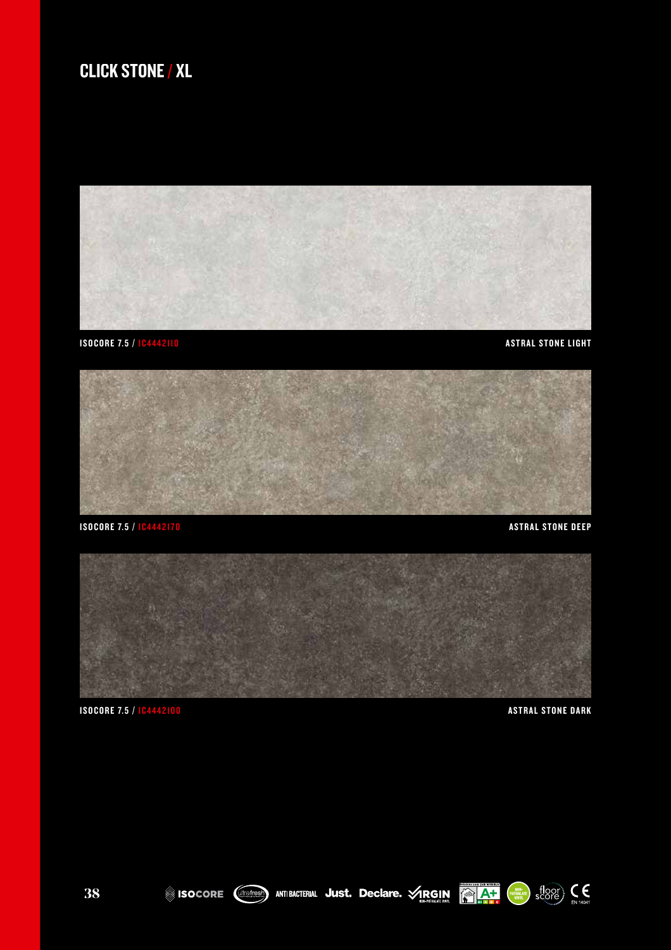## CLICK STONE / XL











ISOCORE **(Weitest)** ANTIBACTERIAL JUST. Declare. VRGIN **AT AT SECORE**